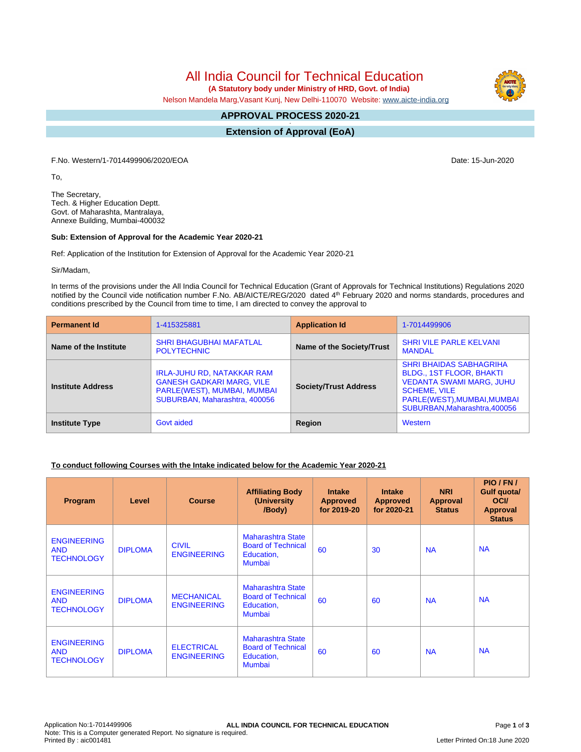# All India Council for Technical Education

 **(A Statutory body under Ministry of HRD, Govt. of India)**

Nelson Mandela Marg,Vasant Kunj, New Delhi-110070 Website: [www.aicte-india.org](http://www.aicte-india.org)

#### **APPROVAL PROCESS 2020-21 -**

**Extension of Approval (EoA)**

F.No. Western/1-7014499906/2020/EOA Date: 15-Jun-2020

To,

The Secretary, Tech. & Higher Education Deptt. Govt. of Maharashta, Mantralaya, Annexe Building, Mumbai-400032

#### **Sub: Extension of Approval for the Academic Year 2020-21**

Ref: Application of the Institution for Extension of Approval for the Academic Year 2020-21

Sir/Madam,

In terms of the provisions under the All India Council for Technical Education (Grant of Approvals for Technical Institutions) Regulations 2020 notified by the Council vide notification number F.No. AB/AICTE/REG/2020 dated 4<sup>th</sup> February 2020 and norms standards, procedures and conditions prescribed by the Council from time to time, I am directed to convey the approval to

| <b>Permanent Id</b>      | 1-415325881                                                                                                                    | <b>Application Id</b>        | 1-7014499906                                                                                                                                                                                |
|--------------------------|--------------------------------------------------------------------------------------------------------------------------------|------------------------------|---------------------------------------------------------------------------------------------------------------------------------------------------------------------------------------------|
| Name of the Institute    | <b>SHRI BHAGUBHAI MAFATLAL</b><br><b>POLYTECHNIC</b>                                                                           | Name of the Society/Trust    | <b>SHRI VILE PARLE KELVANI</b><br><b>MANDAL</b>                                                                                                                                             |
| <b>Institute Address</b> | IRLA-JUHU RD, NATAKKAR RAM<br><b>GANESH GADKARI MARG, VILE</b><br>PARLE(WEST), MUMBAI, MUMBAI<br>SUBURBAN, Maharashtra, 400056 | <b>Society/Trust Address</b> | <b>SHRI BHAIDAS SABHAGRIHA</b><br><b>BLDG., 1ST FLOOR, BHAKTI</b><br><b>VEDANTA SWAMI MARG, JUHU</b><br><b>SCHEME, VILE</b><br>PARLE(WEST), MUMBAI, MUMBAI<br>SUBURBAN, Maharashtra, 400056 |
| <b>Institute Type</b>    | Govt aided                                                                                                                     | Region                       | Western                                                                                                                                                                                     |

# **To conduct following Courses with the Intake indicated below for the Academic Year 2020-21**

| Program                                               | Level          | <b>Course</b>                           | <b>Affiliating Body</b><br>(University<br>/Body)                                     | <b>Intake</b><br><b>Approved</b><br>for 2019-20 | <b>Intake</b><br><b>Approved</b><br>for 2020-21 | <b>NRI</b><br>Approval<br><b>Status</b> | PIO/FN/<br>Gulf quota/<br><b>OCI</b><br><b>Approval</b><br><b>Status</b> |
|-------------------------------------------------------|----------------|-----------------------------------------|--------------------------------------------------------------------------------------|-------------------------------------------------|-------------------------------------------------|-----------------------------------------|--------------------------------------------------------------------------|
| <b>ENGINEERING</b><br><b>AND</b><br><b>TECHNOLOGY</b> | <b>DIPLOMA</b> | <b>CIVIL</b><br><b>ENGINEERING</b>      | Maharashtra State<br><b>Board of Technical</b><br>Education,<br><b>Mumbai</b>        | 60                                              | 30                                              | <b>NA</b>                               | <b>NA</b>                                                                |
| <b>ENGINEERING</b><br><b>AND</b><br><b>TECHNOLOGY</b> | <b>DIPLOMA</b> | <b>MECHANICAL</b><br><b>ENGINEERING</b> | <b>Maharashtra State</b><br><b>Board of Technical</b><br>Education,<br><b>Mumbai</b> | 60                                              | 60                                              | <b>NA</b>                               | <b>NA</b>                                                                |
| <b>ENGINEERING</b><br><b>AND</b><br><b>TECHNOLOGY</b> | <b>DIPLOMA</b> | <b>ELECTRICAL</b><br><b>ENGINEERING</b> | <b>Maharashtra State</b><br><b>Board of Technical</b><br>Education,<br><b>Mumbai</b> | 60                                              | 60                                              | <b>NA</b>                               | <b>NA</b>                                                                |

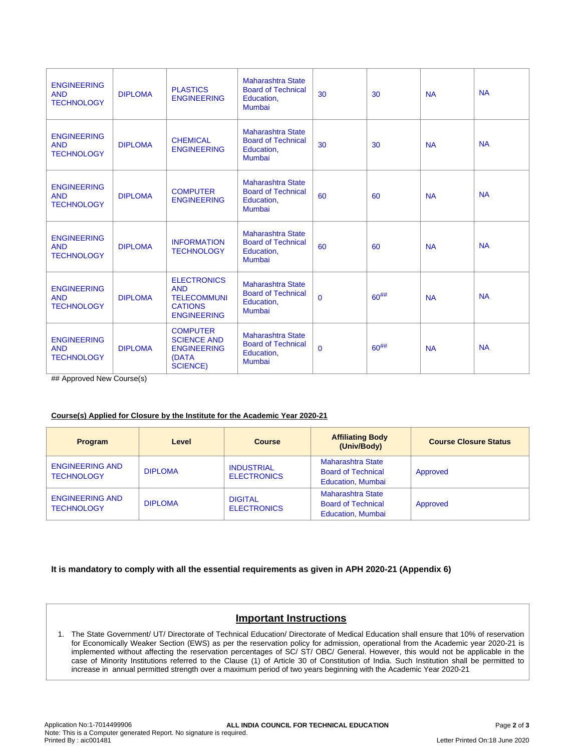| <b>ENGINEERING</b><br><b>AND</b><br><b>TECHNOLOGY</b> | <b>DIPLOMA</b> | <b>PLASTICS</b><br><b>ENGINEERING</b>                                                          | <b>Maharashtra State</b><br><b>Board of Technical</b><br>Education,<br>Mumbai        | 30           | 30         | <b>NA</b> | <b>NA</b> |
|-------------------------------------------------------|----------------|------------------------------------------------------------------------------------------------|--------------------------------------------------------------------------------------|--------------|------------|-----------|-----------|
| <b>ENGINEERING</b><br><b>AND</b><br><b>TECHNOLOGY</b> | <b>DIPLOMA</b> | <b>CHEMICAL</b><br><b>ENGINEERING</b>                                                          | <b>Maharashtra State</b><br><b>Board of Technical</b><br>Education,<br>Mumbai        | 30           | 30         | <b>NA</b> | <b>NA</b> |
| <b>ENGINEERING</b><br><b>AND</b><br><b>TECHNOLOGY</b> | <b>DIPLOMA</b> | <b>COMPUTER</b><br><b>ENGINEERING</b>                                                          | <b>Maharashtra State</b><br><b>Board of Technical</b><br>Education.<br>Mumbai        | 60           | 60         | <b>NA</b> | <b>NA</b> |
| <b>ENGINEERING</b><br><b>AND</b><br><b>TECHNOLOGY</b> | <b>DIPLOMA</b> | <b>INFORMATION</b><br><b>TECHNOLOGY</b>                                                        | <b>Maharashtra State</b><br><b>Board of Technical</b><br>Education,<br><b>Mumbai</b> | 60           | 60         | <b>NA</b> | <b>NA</b> |
| <b>ENGINEERING</b><br><b>AND</b><br><b>TECHNOLOGY</b> | <b>DIPLOMA</b> | <b>ELECTRONICS</b><br><b>AND</b><br><b>TELECOMMUNI</b><br><b>CATIONS</b><br><b>ENGINEERING</b> | <b>Maharashtra State</b><br><b>Board of Technical</b><br>Education,<br>Mumbai        | $\mathbf{0}$ | $60^{#}\%$ | <b>NA</b> | <b>NA</b> |
| <b>ENGINEERING</b><br><b>AND</b><br><b>TECHNOLOGY</b> | <b>DIPLOMA</b> | <b>COMPUTER</b><br><b>SCIENCE AND</b><br><b>ENGINEERING</b><br>(DATA<br><b>SCIENCE)</b>        | <b>Maharashtra State</b><br><b>Board of Technical</b><br>Education,<br>Mumbai        | $\mathbf{0}$ | $60^{#}\%$ | <b>NA</b> | <b>NA</b> |

## Approved New Course(s)

# **Course(s) Applied for Closure by the Institute for the Academic Year 2020-21**

| <b>Program</b>                              | Level          | <b>Course</b>                           | <b>Affiliating Body</b><br>(Univ/Body)                                     | <b>Course Closure Status</b> |
|---------------------------------------------|----------------|-----------------------------------------|----------------------------------------------------------------------------|------------------------------|
| <b>ENGINEERING AND</b><br><b>TECHNOLOGY</b> | <b>DIPLOMA</b> | <b>INDUSTRIAL</b><br><b>ELECTRONICS</b> | Maharashtra State<br><b>Board of Technical</b><br><b>Education, Mumbai</b> | Approved                     |
| <b>ENGINEERING AND</b><br><b>TECHNOLOGY</b> | <b>DIPLOMA</b> | <b>DIGITAL</b><br><b>ELECTRONICS</b>    | Maharashtra State<br><b>Board of Technical</b><br><b>Education. Mumbai</b> | Approved                     |

# **It is mandatory to comply with all the essential requirements as given in APH 2020-21 (Appendix 6)**

# **Important Instructions**

1. The State Government/ UT/ Directorate of Technical Education/ Directorate of Medical Education shall ensure that 10% of reservation for Economically Weaker Section (EWS) as per the reservation policy for admission, operational from the Academic year 2020-21 is implemented without affecting the reservation percentages of SC/ ST/ OBC/ General. However, this would not be applicable in the case of Minority Institutions referred to the Clause (1) of Article 30 of Constitution of India. Such Institution shall be permitted to increase in annual permitted strength over a maximum period of two years beginning with the Academic Year 2020-21